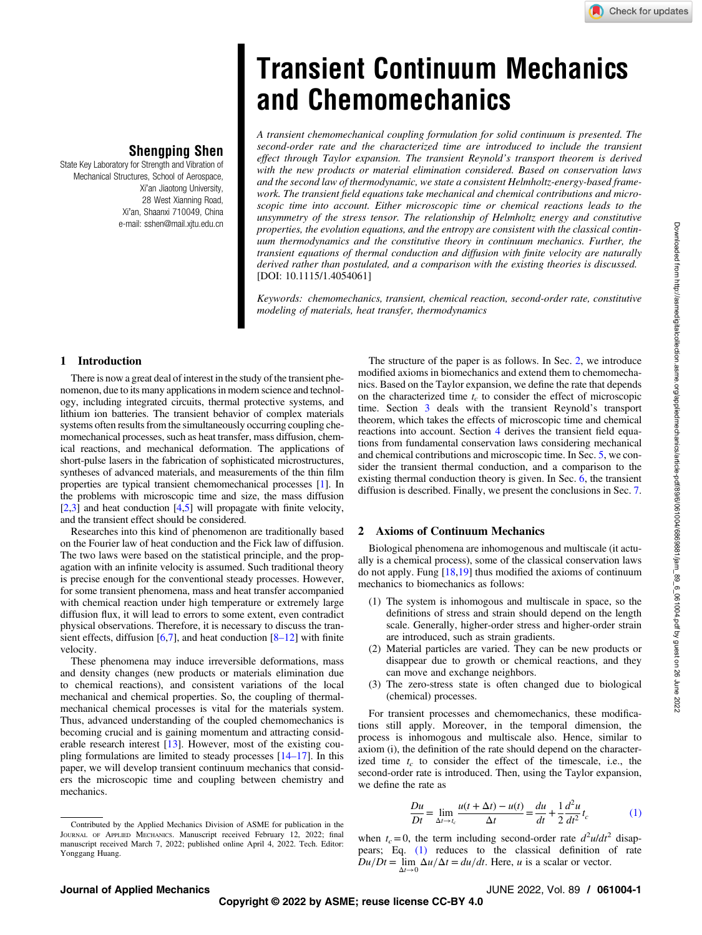Downloaded from http://asmedigitalcollection.asme.org/appliedmechanics/article-pdf/89/6/061004/6869881/jam\_89\_6\_061004.pdf by guest on 26 June 2022

Downloaded from http://asmedigitalcollection.asme.org/appliedmechanics/article-pdf/89/6/061004/6869881/jam\_89\_6\_061004.pdf by guest on 26 June 2022

# Shengping Shen

<span id="page-0-0"></span>State Key Laboratory for Strength and Vibration of Mechanical Structures, School of Aerospace, Xi'an Jiaotong University, 28 West Xianning Road, Xi'an, Shaanxi 710049, China e-mail: [sshen@mail.xjtu.edu.cn](mailto:sshen@mail.xjtu.edu.cn)

# Transient Continuum Mechanics and Chemomechanics

A transient chemomechanical coupling formulation for solid continuum is presented. The second-order rate and the characterized time are introduced to include the transient effect through Taylor expansion. The transient Reynold's transport theorem is derived with the new products or material elimination considered. Based on conservation laws and the second law of thermodynamic, we state a consistent Helmholtz-energy-based framework. The transient field equations take mechanical and chemical contributions and microscopic time into account. Either microscopic time or chemical reactions leads to the unsymmetry of the stress tensor. The relationship of Helmholtz energy and constitutive properties, the evolution equations, and the entropy are consistent with the classical continuum thermodynamics and the constitutive theory in continuum mechanics. Further, the transient equations of thermal conduction and diffusion with finite velocity are naturally derived rather than postulated, and a comparison with the existing theories is discussed. [DOI: 10.1115/1.4054061]

Keywords: chemomechanics, transient, chemical reaction, second-order rate, constitutive modeling of materials, heat transfer, thermodynamics

# 1 Introduction

There is now a great deal of interest in the study of the transient phenomenon, due to its many applications in modern science and technology, including integrated circuits, thermal protective systems, and lithium ion batteries. The transient behavior of complex materials systems often results from the simultaneously occurring coupling chemomechanical processes, such as heat transfer, mass diffusion, chemical reactions, and mechanical deformation. The applications of short-pulse lasers in the fabrication of sophisticated microstructures, syntheses of advanced materials, and measurements of the thin film properties are typical transient chemomechanical processes [[1](#page-6-0)]. In the problems with microscopic time and size, the mass diffusion  $\overline{[2,3]}$  $\overline{[2,3]}$  $\overline{[2,3]}$  and heat conduction  $\overline{[4,5]}$  $\overline{[4,5]}$  $\overline{[4,5]}$  will propagate with finite velocity, and the transient effect should be considered.

Researches into this kind of phenomenon are traditionally based on the Fourier law of heat conduction and the Fick law of diffusion. The two laws were based on the statistical principle, and the propagation with an infinite velocity is assumed. Such traditional theory is precise enough for the conventional steady processes. However, for some transient phenomena, mass and heat transfer accompanied with chemical reaction under high temperature or extremely large diffusion flux, it will lead to errors to some extent, even contradict physical observations. Therefore, it is necessary to discuss the transient effects, diffusion  $[6,7]$ , and heat conduction  $[8-12]$  with finite velocity.

These phenomena may induce irreversible deformations, mass and density changes (new products or materials elimination due to chemical reactions), and consistent variations of the local mechanical and chemical properties. So, the coupling of thermalmechanical chemical processes is vital for the materials system. Thus, advanced understanding of the coupled chemomechanics is becoming crucial and is gaining momentum and attracting considerable research interest [[13](#page-6-0)]. However, most of the existing coupling formulations are limited to steady processes [14–17]. In this paper, we will develop transient continuum mechanics that considers the microscopic time and coupling between chemistry and mechanics.

The structure of the paper is as follows. In Sec. 2, we introduce modified axioms in biomechanics and extend them to chemomechanics. Based on the Taylor expansion, we define the rate that depends on the characterized time  $t_c$  to consider the effect of microscopic time. Section [3](#page-1-0) deals with the transient Reynold's transport theorem, which takes the effects of microscopic time and chemical reactions into account. Section [4](#page-1-0) derives the transient field equations from fundamental conservation laws considering mechanical and chemical contributions and microscopic time. In Sec. [5,](#page-5-0) we consider the transient thermal conduction, and a comparison to the existing thermal conduction theory is given. In Sec. [6,](#page-6-0) the transient diffusion is described. Finally, we present the conclusions in Sec. [7.](#page-6-0)

## 2 Axioms of Continuum Mechanics

Biological phenomena are inhomogenous and multiscale (it actually is a chemical process), some of the classical conservation laws do not apply. Fung  $[18,19]$  thus modified the axioms of continuum mechanics to biomechanics as follows:

- (1) The system is inhomogous and multiscale in space, so the definitions of stress and strain should depend on the length scale. Generally, higher-order stress and higher-order strain are introduced, such as strain gradients.
- (2) Material particles are varied. They can be new products or disappear due to growth or chemical reactions, and they can move and exchange neighbors.
- (3) The zero-stress state is often changed due to biological (chemical) processes.

For transient processes and chemomechanics, these modifications still apply. Moreover, in the temporal dimension, the process is inhomogous and multiscale also. Hence, similar to axiom (i), the definition of the rate should depend on the characterized time  $t_c$  to consider the effect of the timescale, i.e., the second-order rate is introduced. Then, using the Taylor expansion, we define the rate as

$$
\frac{Du}{Dt} = \lim_{\Delta t \to t_c} \frac{u(t + \Delta t) - u(t)}{\Delta t} = \frac{du}{dt} + \frac{1}{2} \frac{d^2 u}{dt^2} t_c
$$
 (1)

when  $t_c = 0$ , the term including second-order rate  $d^2u/dt^2$  disappears; Eq. (1) reduces to the classical definition of rate  $Du/Dt = \lim_{\Delta t \to 0} \frac{\Delta u}{\Delta t} = du/dt$ . Here, *u* is a scalar or vector.

Contributed by the Applied Mechanics Division of ASME for publication in the JOURNAL OF APPLIED MECHANICS. Manuscript received February 12, 2022; final manuscript received March 7, 2022; published online April 4, 2022. Tech. Editor: Yonggang Huang.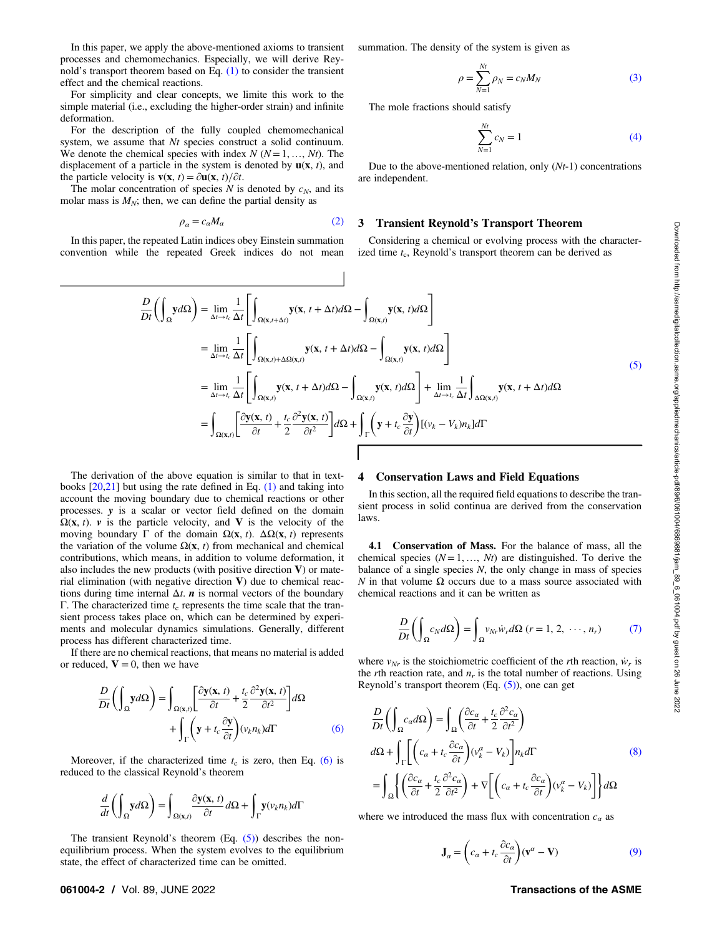<span id="page-1-0"></span>In this paper, we apply the above-mentioned axioms to transient processes and chemomechanics. Especially, we will derive Reynold's transport theorem based on Eq. [\(1\)](#page-0-0) to consider the transient effect and the chemical reactions.

For simplicity and clear concepts, we limite this work to the simple material (i.e., excluding the higher-order strain) and infinite deformation.

For the description of the fully coupled chemomechanical system, we assume that Nt species construct a solid continuum. We denote the chemical species with index  $N (N=1, ..., Nt)$ . The displacement of a particle in the system is denoted by  $\mathbf{u}(\mathbf{x}, t)$ , and the particle velocity is  $\mathbf{v}(\mathbf{x}, t) = \partial \mathbf{u}(\mathbf{x}, t) / \partial t$ .

The molar concentration of species  $N$  is denoted by  $c_N$ , and its molar mass is  $M_N$ ; then, we can define the partial density as

$$
\rho_{\alpha} = c_{\alpha} M_{\alpha} \tag{2}
$$

In this paper, the repeated Latin indices obey Einstein summation convention while the repeated Greek indices do not mean summation. The density of the system is given as

$$
\rho = \sum_{N=1}^{Nt} \rho_N = c_N M_N \tag{3}
$$

The mole fractions should satisfy

$$
\sum_{N=1}^{Nt} c_N = 1
$$
 (4)

Due to the above-mentioned relation, only  $(Nt-1)$  concentrations are independent.

#### 3 Transient Reynold's Transport Theorem

Considering a chemical or evolving process with the characterized time  $t_c$ , Reynold's transport theorem can be derived as

$$
\frac{D}{Dt} \left( \int_{\Omega} y d\Omega \right) = \lim_{\Delta t \to t_c} \frac{1}{\Delta t} \left[ \int_{\Omega(x, t) + \Delta t} y(x, t + \Delta t) d\Omega - \int_{\Omega(x, t)} y(x, t) d\Omega \right]
$$
\n
$$
= \lim_{\Delta t \to t_c} \frac{1}{\Delta t} \left[ \int_{\Omega(x, t) + \Delta \Omega(x, t)} y(x, t + \Delta t) d\Omega - \int_{\Omega(x, t)} y(x, t) d\Omega \right]
$$
\n
$$
= \lim_{\Delta t \to t_c} \frac{1}{\Delta t} \left[ \int_{\Omega(x, t)} y(x, t + \Delta t) d\Omega - \int_{\Omega(x, t)} y(x, t) d\Omega \right] + \lim_{\Delta t \to t_c} \frac{1}{\Delta t} \int_{\Delta \Omega(x, t)} y(x, t + \Delta t) d\Omega
$$
\n
$$
= \int_{\Omega(x, t)} \left[ \frac{\partial y(x, t)}{\partial t} + \frac{t_c}{2} \frac{\partial^2 y(x, t)}{\partial t^2} \right] d\Omega + \int_{\Gamma} \left( y + t_c \frac{\partial y}{\partial t} \right) [(v_k - V_k) n_k] d\Gamma
$$
\n(5)

 $\overline{\phantom{a}}$ 

The derivation of the above equation is similar to that in textbooks [\[20,21](#page-6-0)] but using the rate defined in Eq. [\(1\)](#page-0-0) and taking into account the moving boundary due to chemical reactions or other processes. y is a scalar or vector field defined on the domain  $\Omega(x, t)$ . v is the particle velocity, and V is the velocity of the moving boundary Γ of the domain  $\Omega$ (**x**, *t*).  $\Delta\Omega$ (**x**, *t*) represents the variation of the volume  $\Omega(x, t)$  from mechanical and chemical contributions, which means, in addition to volume deformation, it also includes the new products (with positive direction  $V$ ) or material elimination (with negative direction  $V$ ) due to chemical reactions during time internal  $\Delta t$ . *n* is normal vectors of the boundary Γ. The characterized time  $t_c$  represents the time scale that the transient process takes place on, which can be determined by experiments and molecular dynamics simulations. Generally, different process has different characterized time.

If there are no chemical reactions, that means no material is added or reduced,  $V = 0$ , then we have

$$
\frac{D}{Dt} \left( \int_{\Omega} y d\Omega \right) = \int_{\Omega(x,t)} \left[ \frac{\partial y(x,t)}{\partial t} + \frac{t_c}{2} \frac{\partial^2 y(x,t)}{\partial t^2} \right] d\Omega + \int_{\Gamma} \left( y + t_c \frac{\partial y}{\partial t} \right) (v_k n_k) d\Gamma \tag{6}
$$

Moreover, if the characterized time  $t_c$  is zero, then Eq. (6) is reduced to the classical Reynold's theorem

$$
\frac{d}{dt}\left(\int_{\Omega}\mathbf{y}d\Omega\right) = \int_{\Omega(\mathbf{x},t)}\frac{\partial \mathbf{y}(\mathbf{x},t)}{\partial t}d\Omega + \int_{\Gamma}\mathbf{y}(v_k n_k)d\Gamma
$$

The transient Reynold's theorem  $(Eq. (5))$  describes the nonequilibrium process. When the system evolves to the equilibrium state, the effect of characterized time can be omitted.

#### 4 Conservation Laws and Field Equations

In this section, all the required field equations to describe the transient process in solid continua are derived from the conservation laws.

4.1 Conservation of Mass. For the balance of mass, all the chemical species  $(N = 1, ..., Nt)$  are distinguished. To derive the balance of a single species  $N$ , the only change in mass of species  $N$  in that volume  $Ω$  occurs due to a mass source associated with chemical reactions and it can be written as

$$
\frac{D}{Dt}\left(\int_{\Omega}c_Nd\Omega\right) = \int_{\Omega}v_{Nr}\dot{w}_r d\Omega \ (r = 1, 2, \ \cdots, n_r) \tag{7}
$$

where  $v_{Nr}$  is the stoichiometric coefficient of the *r*th reaction,  $\dot{w}_r$  is the *r*th reaction rate, and  $n_r$  is the total number of reactions. Using Reynold's transport theorem  $(Eq. (5))$ , one can get

$$
\frac{D}{Dt} \left( \int_{\Omega} c_{\alpha} d\Omega \right) = \int_{\Omega} \left( \frac{\partial c_{\alpha}}{\partial t} + \frac{t_c}{2} \frac{\partial^2 c_{\alpha}}{\partial t^2} \right)
$$
\n
$$
d\Omega + \int_{\Gamma} \left[ \left( c_{\alpha} + t_c \frac{\partial c_{\alpha}}{\partial t} \right) (v_k^{\alpha} - V_k) \right] n_k d\Gamma \qquad (8)
$$
\n
$$
= \int_{\Omega} \left\{ \left( \frac{\partial c_{\alpha}}{\partial t} + \frac{t_c}{2} \frac{\partial^2 c_{\alpha}}{\partial t^2} \right) + \nabla \left[ \left( c_{\alpha} + t_c \frac{\partial c_{\alpha}}{\partial t} \right) (v_k^{\alpha} - V_k) \right] \right\} d\Omega
$$

where we introduced the mass flux with concentration  $c_{\alpha}$  as

$$
\mathbf{J}_{\alpha} = \left(c_{\alpha} + t_c \frac{\partial c_{\alpha}}{\partial t}\right)(\mathbf{v}^{\alpha} - \mathbf{V})
$$
 (9)

# 061004-2 / Vol. 89, JUNE 2022 2008 2009 2009 2009 2009 2010 2020 2030 2040 2050 2061004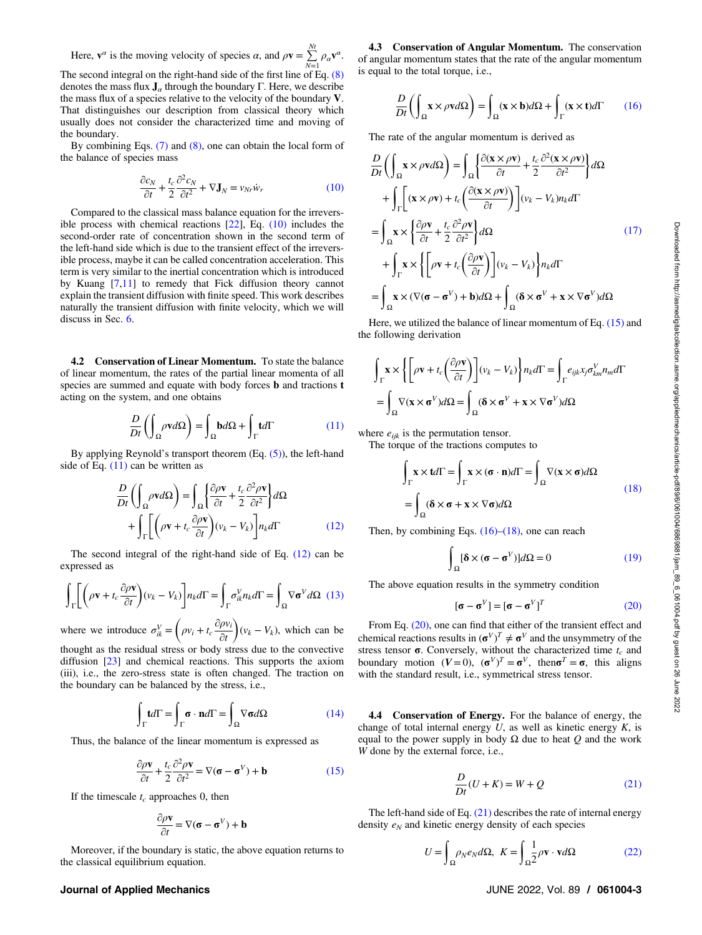<span id="page-2-0"></span>Here,  $\mathbf{v}^{\alpha}$  is the moving velocity of species  $\alpha$ , and  $\rho \mathbf{v} = \sum_{N=1}^{Nt} \rho_{\alpha} \mathbf{v}^{\alpha}$ .

The second integral on the right-hand side of the first line of Eq. [\(8\)](#page-1-0) denotes the mass flux  $J_\alpha$  through the boundary Γ. Here, we describe the mass flux of a species relative to the velocity of the boundary V. That distinguishes our description from classical theory which usually does not consider the characterized time and moving of the boundary.

By combining Eqs.  $(7)$  and  $(8)$ , one can obtain the local form of the balance of species mass

$$
\frac{\partial c_N}{\partial t} + \frac{t_c}{2} \frac{\partial^2 c_N}{\partial t^2} + \nabla \mathbf{J}_N = v_{Nr} \dot{w}_r \tag{10}
$$

Compared to the classical mass balance equation for the irreversible process with chemical reactions [[22\]](#page-6-0), Eq. (10) includes the second-order rate of concentration shown in the second term of the left-hand side which is due to the transient effect of the irreversible process, maybe it can be called concentration acceleration. This term is very similar to the inertial concentration which is introduced by Kuang [[7,11](#page-6-0)] to remedy that Fick diffusion theory cannot explain the transient diffusion with finite speed. This work describes naturally the transient diffusion with finite velocity, which we will discuss in Sec. [6](#page-6-0).

4.2 Conservation of Linear Momentum. To state the balance of linear momentum, the rates of the partial linear momenta of all species are summed and equate with body forces **b** and tractions **t** acting on the system, and one obtains

$$
\frac{D}{Dt} \left( \int_{\Omega} \rho \mathbf{v} d\Omega \right) = \int_{\Omega} \mathbf{b} d\Omega + \int_{\Gamma} \mathbf{t} d\Gamma \tag{11}
$$

By applying Reynold's transport theorem (Eq. [\(5\)](#page-1-0)), the left-hand side of Eq. (11) can be written as

$$
\frac{D}{Dt} \left( \int_{\Omega} \rho \mathbf{v} d\Omega \right) = \int_{\Omega} \left\{ \frac{\partial \rho \mathbf{v}}{\partial t} + \frac{t_c}{2} \frac{\partial^2 \rho \mathbf{v}}{\partial t^2} \right\} d\Omega
$$
\n
$$
+ \int_{\Gamma} \left[ \left( \rho \mathbf{v} + t_c \frac{\partial \rho \mathbf{v}}{\partial t} \right) (v_k - V_k) \right] n_k d\Gamma \tag{12}
$$

The second integral of the right-hand side of Eq. (12) can be expressed as

$$
\int_{\Gamma} \left[ \left( \rho \mathbf{v} + t_c \frac{\partial \rho \mathbf{v}}{\partial t} \right) (v_k - V_k) \right] n_k d\Gamma = \int_{\Gamma} \sigma_{ik}^V n_k d\Gamma = \int_{\Omega} \nabla \sigma^V d\Omega \tag{13}
$$

where we introduce  $\sigma_{ik}^V = \left(\rho v_i + t_c \frac{\partial \rho v_i}{\partial t}\right)$  $\left(\rho v_i + t_c \frac{\partial \rho v_i}{\partial t}\right) (v_k - V_k)$ , which can be

thought as the residual stress or body stress due to the convective diffusion [\[23](#page-6-0)] and chemical reactions. This supports the axiom (iii), i.e., the zero-stress state is often changed. The traction on the boundary can be balanced by the stress, i.e.,

$$
\int_{\Gamma} \mathbf{t}d\Gamma = \int_{\Gamma} \boldsymbol{\sigma} \cdot \mathbf{n}d\Gamma = \int_{\Omega} \nabla \boldsymbol{\sigma}d\Omega \tag{14}
$$

Thus, the balance of the linear momentum is expressed as

$$
\frac{\partial \rho \mathbf{v}}{\partial t} + \frac{t_c}{2} \frac{\partial^2 \rho \mathbf{v}}{\partial t^2} = \nabla (\mathbf{\sigma} - \mathbf{\sigma}^V) + \mathbf{b}
$$
 (15)

If the timescale  $t_c$  approaches 0, then

$$
\frac{\partial \rho \mathbf{v}}{\partial t} = \nabla (\sigma - \sigma^V) + \mathbf{b}
$$

Moreover, if the boundary is static, the above equation returns to the classical equilibrium equation.

#### Journal of Applied Mechanics JUNE 2022, Vol. 89 / 061004-3

4.3 Conservation of Angular Momentum. The conservation of angular momentum states that the rate of the angular momentum is equal to the total torque, i.e.,

$$
\frac{D}{Dt} \left( \int_{\Omega} \mathbf{x} \times \rho \mathbf{v} d\Omega \right) = \int_{\Omega} (\mathbf{x} \times \mathbf{b}) d\Omega + \int_{\Gamma} (\mathbf{x} \times \mathbf{t}) d\Gamma \qquad (16)
$$

The rate of the angular momentum is derived as

$$
\frac{D}{Dt} \left( \int_{\Omega} \mathbf{x} \times \rho \mathbf{v} d\Omega \right) = \int_{\Omega} \left\{ \frac{\partial (\mathbf{x} \times \rho \mathbf{v})}{\partial t} + \frac{t_c}{2} \frac{\partial^2 (\mathbf{x} \times \rho \mathbf{v})}{\partial t^2} \right\} d\Omega
$$
\n
$$
+ \int_{\Gamma} \left[ (\mathbf{x} \times \rho \mathbf{v}) + t_c \left( \frac{\partial (\mathbf{x} \times \rho \mathbf{v})}{\partial t} \right) \right] (v_k - V_k) n_k d\Gamma
$$
\n
$$
= \int_{\Omega} \mathbf{x} \times \left\{ \frac{\partial \rho \mathbf{v}}{\partial t} + \frac{t_c}{2} \frac{\partial^2 \rho \mathbf{v}}{\partial t^2} \right\} d\Omega \qquad (17)
$$
\n
$$
+ \int_{\Gamma} \mathbf{x} \times \left\{ \left[ \rho \mathbf{v} + t_c \left( \frac{\partial \rho \mathbf{v}}{\partial t} \right) \right] (v_k - V_k) \right\} n_k d\Gamma
$$
\n
$$
= \int_{\Omega} \mathbf{x} \times (\nabla (\boldsymbol{\sigma} - \boldsymbol{\sigma}^V) + \mathbf{b}) d\Omega + \int_{\Omega} (\boldsymbol{\delta} \times \boldsymbol{\sigma}^V + \mathbf{x} \times \nabla \boldsymbol{\sigma}^V) d\Omega
$$

Here, we utilized the balance of linear momentum of Eq. (15) and the following derivation

$$
\int_{\Gamma} \mathbf{x} \times \left\{ \left[ \rho \mathbf{v} + t_c \left( \frac{\partial \rho \mathbf{v}}{\partial t} \right) \right] (v_k - V_k) \right\} n_k d\Gamma = \int_{\Gamma} e_{ijk} x_j \sigma_{km}^V n_m d\Gamma
$$

$$
= \int_{\Omega} \nabla (\mathbf{x} \times \mathbf{\sigma}^V) d\Omega = \int_{\Omega} (\mathbf{\delta} \times \mathbf{\sigma}^V + \mathbf{x} \times \nabla \mathbf{\sigma}^V) d\Omega
$$

where  $e_{ijk}$  is the permutation tensor.

The torque of the tractions computes to

$$
\int_{\Gamma} \mathbf{x} \times \mathbf{t} d\Gamma = \int_{\Gamma} \mathbf{x} \times (\boldsymbol{\sigma} \cdot \mathbf{n}) d\Gamma = \int_{\Omega} \nabla(\mathbf{x} \times \boldsymbol{\sigma}) d\Omega
$$
\n
$$
= \int_{\Omega} (\boldsymbol{\delta} \times \boldsymbol{\sigma} + \mathbf{x} \times \nabla \boldsymbol{\sigma}) d\Omega
$$
\n(18)

Then, by combining Eqs.  $(16)$ – $(18)$ , one can reach

$$
\int_{\Omega} [\mathbf{\delta} \times (\mathbf{\sigma} - \mathbf{\sigma}^{V})] d\Omega = 0
$$
 (19)

The above equation results in the symmetry condition

$$
[\boldsymbol{\sigma} - \boldsymbol{\sigma}^V] = [\boldsymbol{\sigma} - \boldsymbol{\sigma}^V]^T
$$
 (20)

From Eq. (20), one can find that either of the transient effect and chemical reactions results in  $(\sigma^V)^T \neq \sigma^V$  and the unsymmetry of the stress tensor  $\sigma$ . Conversely, without the characterized time  $t_c$  and boundary motion  $(V=0)$ ,  $(\sigma^V)^T = \sigma^V$ , then  $\sigma^T = \sigma$ , this aligns with the standard result, i.e., symmetrical stress tensor.

4.4 Conservation of Energy. For the balance of energy, the change of total internal energy  $U$ , as well as kinetic energy  $K$ , is equal to the power supply in body  $Ω$  due to heat  $Q$  and the work W done by the external force, i.e.,

$$
\frac{D}{Dt}(U+K) = W + Q \tag{21}
$$

The left-hand side of Eq.  $(21)$  describes the rate of internal energy density  $e_N$  and kinetic energy density of each species

$$
U = \int_{\Omega} \rho_N e_N d\Omega, \ K = \int_{\Omega} \frac{1}{2} \rho \mathbf{v} \cdot \mathbf{v} d\Omega \tag{22}
$$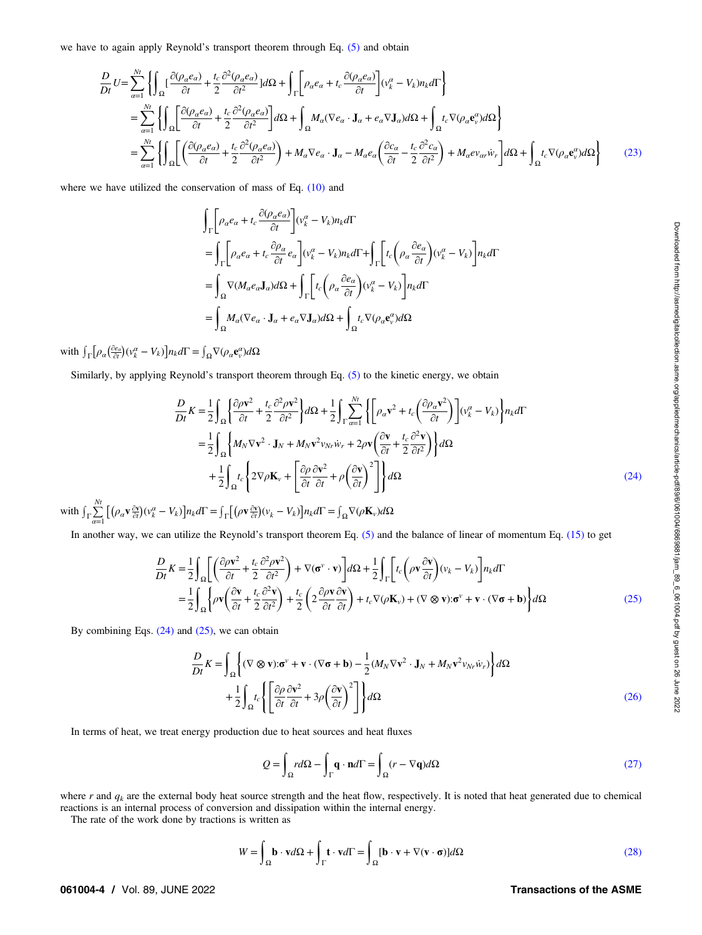<span id="page-3-0"></span>we have to again apply Reynold's transport theorem through Eq. [\(5\)](#page-1-0) and obtain

$$
\frac{D}{Dt}U = \sum_{\alpha=1}^{Nt} \left\{ \int_{\Omega} \left[ \frac{\partial(\rho_a e_{\alpha})}{\partial t} + \frac{t_c}{2} \frac{\partial^2(\rho_a e_{\alpha})}{\partial t^2} \right] d\Omega + \int_{\Gamma} \left[ \rho_a e_a + t_c \frac{\partial(\rho_a e_{\alpha})}{\partial t} \right] (v_k^{\alpha} - V_k) n_k d\Gamma \right\}
$$
\n
$$
= \sum_{\alpha=1}^{Nt} \left\{ \int_{\Omega} \left[ \frac{\partial(\rho_a e_{\alpha})}{\partial t} + \frac{t_c}{2} \frac{\partial^2(\rho_a e_{\alpha})}{\partial t^2} \right] d\Omega + \int_{\Omega} M_a (\nabla e_{\alpha} \cdot \mathbf{J}_a + e_{\alpha} \nabla \mathbf{J}_a) d\Omega + \int_{\Omega} t_c \nabla(\rho_a \mathbf{e}_{\nu}^{\alpha}) d\Omega \right\}
$$
\n
$$
= \sum_{\alpha=1}^{Nt} \left\{ \int_{\Omega} \left[ \left( \frac{\partial(\rho_a e_{\alpha})}{\partial t} + \frac{t_c}{2} \frac{\partial^2(\rho_a e_{\alpha})}{\partial t^2} \right) + M_a \nabla e_{\alpha} \cdot \mathbf{J}_a - M_a e_{\alpha} \left( \frac{\partial c_{\alpha}}{\partial t} - \frac{t_c}{2} \frac{\partial^2 c_{\alpha}}{\partial t^2} \right) + M_a e v_{\alpha r} \dot{w}_r \right] d\Omega + \int_{\Omega} t_c \nabla(\rho_a \mathbf{e}_{\nu}^{\alpha}) d\Omega \right\} \tag{23}
$$

where we have utilized the conservation of mass of Eq. [\(10\)](#page-2-0) and

$$
\begin{split} &\int_{\Gamma}\biggl[\rho_{\alpha}e_{\alpha}+t_{c}\frac{\partial(\rho_{\alpha}e_{\alpha})}{\partial t}\biggr](v_{k}^{\alpha}-V_{k})n_{k}d\Gamma\\ &=\int_{\Gamma}\biggl[\rho_{\alpha}e_{\alpha}+t_{c}\frac{\partial\rho_{\alpha}}{\partial t}e_{\alpha}\biggr](v_{k}^{\alpha}-V_{k})n_{k}d\Gamma+\int_{\Gamma}\biggl[t_{c}\biggl(\rho_{\alpha}\frac{\partial e_{\alpha}}{\partial t}\biggr)(v_{k}^{\alpha}-V_{k})\biggr]n_{k}d\Gamma\\ &=\int_{\Omega}\nabla(M_{\alpha}e_{\alpha}\mathbf{J}_{\alpha})d\Omega+\int_{\Gamma}\biggl[t_{c}\biggl(\rho_{\alpha}\frac{\partial e_{\alpha}}{\partial t}\biggr)(v_{k}^{\alpha}-V_{k})\biggr]n_{k}d\Gamma\\ &=\int_{\Omega}M_{\alpha}(\nabla e_{\alpha}\cdot\mathbf{J}_{\alpha}+e_{\alpha}\nabla\mathbf{J}_{\alpha})d\Omega+\int_{\Omega}t_{c}\nabla(\rho_{\alpha}\mathbf{e}_{\gamma}^{\alpha})d\Omega \end{split}
$$

with  $\int_{\Gamma} \left[ \rho_{\alpha} \left( \frac{\partial e_{\alpha}}{\partial t} \right) (\nu_{k}^{\alpha} - V_{k}) \right] n_{k} d\Gamma = \int_{\Omega} \nabla (\rho_{\alpha} \mathbf{e}_{\nu}^{\alpha}) d\Omega$ 

Similarly, by applying Reynold's transport theorem through Eq. [\(5\)](#page-1-0) to the kinetic energy, we obtain

$$
\frac{D}{Dt}K = \frac{1}{2} \int_{\Omega} \left\{ \frac{\partial \rho \mathbf{v}^2}{\partial t} + \frac{t_c}{2} \frac{\partial^2 \rho \mathbf{v}^2}{\partial t^2} \right\} d\Omega + \frac{1}{2} \int_{\Gamma} \sum_{\alpha=1}^{Nt} \left\{ \left[ \rho_\alpha \mathbf{v}^2 + t_c \left( \frac{\partial \rho_\alpha \mathbf{v}^2}{\partial t} \right) \right] (\mathbf{v}_k^\alpha - V_k) \right\} n_k d\Gamma
$$
\n
$$
= \frac{1}{2} \int_{\Omega} \left\{ M_N \nabla \mathbf{v}^2 \cdot \mathbf{J}_N + M_N \mathbf{v}^2 \mathbf{v}_{Nr} \dot{\mathbf{w}}_r + 2\rho \mathbf{v} \left( \frac{\partial \mathbf{v}}{\partial t} + \frac{t_c}{2} \frac{\partial^2 \mathbf{v}}{\partial t^2} \right) \right\} d\Omega
$$
\n
$$
+ \frac{1}{2} \int_{\Omega} t_c \left\{ 2 \nabla \rho \mathbf{K}_v + \left[ \frac{\partial \rho}{\partial t} \frac{\partial \mathbf{v}^2}{\partial t} + \rho \left( \frac{\partial \mathbf{v}}{\partial t} \right)^2 \right] \right\} d\Omega
$$
\n(24)

with  $\int_{\Gamma} \sum_{\alpha=1}^{N_t} \left[ \left( \rho_\alpha \mathbf{v} \frac{\partial \mathbf{v}}{\partial t} \right) (\mathbf{v}_k^\alpha - V_k) \right] n_k d\Gamma = \int_{\Gamma} \left[ \left( \rho \mathbf{v} \frac{\partial \mathbf{v}}{\partial t} \right) (\mathbf{v}_k - V_k) \right] n_k d\Gamma = \int_{\Omega} \nabla (\rho \mathbf{K}_v) d\Omega$ 

In another way, we can utilize the Reynold's transport theorem Eq. [\(5\)](#page-1-0) and the balance of linear of momentum Eq. [\(15\)](#page-2-0) to get

$$
\frac{D}{Dt}K = \frac{1}{2} \int_{\Omega} \left[ \left( \frac{\partial \rho \mathbf{v}^2}{\partial t} + \frac{t_c}{2} \frac{\partial^2 \rho \mathbf{v}^2}{\partial t^2} \right) + \nabla(\mathbf{\sigma}^v \cdot \mathbf{v}) \right] d\Omega + \frac{1}{2} \int_{\Gamma} \left[ t_c \left( \rho \mathbf{v} \frac{\partial \mathbf{v}}{\partial t} \right) (v_k - V_k) \right] n_k d\Gamma
$$
\n
$$
= \frac{1}{2} \int_{\Omega} \left\{ \rho \mathbf{v} \left( \frac{\partial \mathbf{v}}{\partial t} + \frac{t_c}{2} \frac{\partial^2 \mathbf{v}}{\partial t^2} \right) + \frac{t_c}{2} \left( 2 \frac{\partial \rho \mathbf{v}}{\partial t} \frac{\partial \mathbf{v}}{\partial t} \right) + t_c \nabla(\rho \mathbf{K}_v) + (\nabla \otimes \mathbf{v}) \cdot \mathbf{\sigma}^v + \mathbf{v} \cdot (\nabla \mathbf{\sigma} + \mathbf{b}) \right\} d\Omega \tag{25}
$$

By combining Eqs.  $(24)$  and  $(25)$ , we can obtain

$$
\frac{D}{Dt}K = \int_{\Omega} \left\{ (\nabla \otimes \mathbf{v}) \cdot \mathbf{\sigma}^{\nu} + \mathbf{v} \cdot (\nabla \mathbf{\sigma} + \mathbf{b}) - \frac{1}{2} (M_N \nabla \mathbf{v}^2 \cdot \mathbf{J}_N + M_N \mathbf{v}^2 v_{Nr} \dot{w}_r) \right\} d\Omega \n+ \frac{1}{2} \int_{\Omega} t_c \left\{ \left[ \frac{\partial \rho}{\partial t} \frac{\partial \mathbf{v}^2}{\partial t} + 3\rho \left( \frac{\partial \mathbf{v}}{\partial t} \right)^2 \right] \right\} d\Omega
$$
\n(26)

In terms of heat, we treat energy production due to heat sources and heat fluxes

$$
Q = \int_{\Omega} r d\Omega - \int_{\Gamma} \mathbf{q} \cdot \mathbf{n} d\Gamma = \int_{\Omega} (r - \nabla \mathbf{q}) d\Omega
$$
 (27)

where r and  $q_k$  are the external body heat source strength and the heat flow, respectively. It is noted that heat generated due to chemical reactions is an internal process of conversion and dissipation within the internal energy.

The rate of the work done by tractions is written as

$$
W = \int_{\Omega} \mathbf{b} \cdot \mathbf{v} d\Omega + \int_{\Gamma} \mathbf{t} \cdot \mathbf{v} d\Gamma = \int_{\Omega} [\mathbf{b} \cdot \mathbf{v} + \nabla(\mathbf{v} \cdot \mathbf{\sigma})] d\Omega \tag{28}
$$

# 061004-4 / Vol. 89, JUNE 2022 2008 2009 12:00 Transactions of the ASME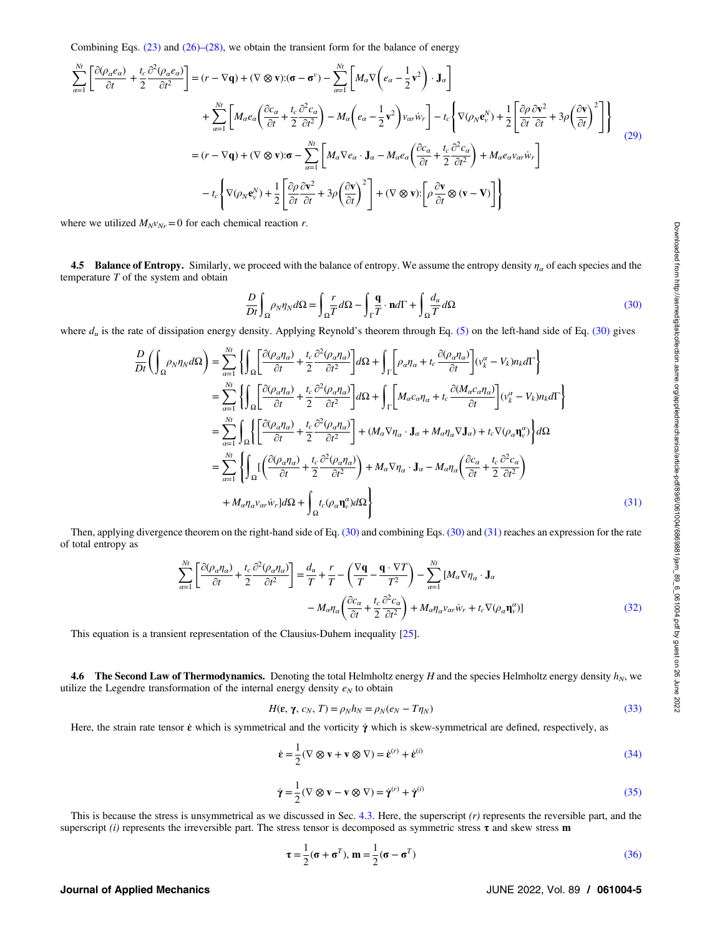<span id="page-4-0"></span>Combining Eqs.  $(23)$  and  $(26)$ – $(28)$ , we obtain the transient form for the balance of energy

$$
\sum_{\alpha=1}^{N_{t}} \left[ \frac{\partial(\rho_{\alpha}e_{\alpha})}{\partial t} + \frac{t_{c}}{2} \frac{\partial^{2}(\rho_{\alpha}e_{\alpha})}{\partial t^{2}} \right] = (r - \nabla \mathbf{q}) + (\nabla \otimes \mathbf{v}) \cdot (\mathbf{\sigma} - \mathbf{\sigma}^{v}) - \sum_{\alpha=1}^{N_{t}} \left[ M_{\alpha} \nabla \left( e_{\alpha} - \frac{1}{2} \mathbf{v}^{2} \right) \cdot \mathbf{J}_{\alpha} \right] \n+ \sum_{\alpha=1}^{N_{t}} \left[ M_{\alpha} e_{\alpha} \left( \frac{\partial c_{\alpha}}{\partial t} + \frac{t_{c}}{2} \frac{\partial^{2} c_{\alpha}}{\partial t^{2}} \right) - M_{\alpha} \left( e_{\alpha} - \frac{1}{2} \mathbf{v}^{2} \right) v_{\alpha v} \dot{w}_{r} \right] - t_{c} \left\{ \nabla (\rho_{N} \mathbf{e}_{v}^{N}) + \frac{1}{2} \left[ \frac{\partial \rho}{\partial t} \frac{\partial \mathbf{v}^{2}}{\partial t} + 3 \rho \left( \frac{\partial \mathbf{v}}{\partial t} \right)^{2} \right] \right\} \n= (r - \nabla \mathbf{q}) + (\nabla \otimes \mathbf{v}) \cdot \mathbf{\sigma} - \sum_{\alpha=1}^{N_{t}} \left[ M_{\alpha} \nabla e_{\alpha} \cdot \mathbf{J}_{\alpha} - M_{\alpha} e_{\alpha} \left( \frac{\partial c_{\alpha}}{\partial t} + \frac{t_{c}}{2} \frac{\partial^{2} c_{\alpha}}{\partial t^{2}} \right) + M_{\alpha} e_{\alpha} v_{\alpha v} \dot{w}_{r} \right] \n- t_{c} \left\{ \nabla (\rho_{N} \mathbf{e}_{v}^{N}) + \frac{1}{2} \left[ \frac{\partial \rho}{\partial t} \frac{\partial \mathbf{v}^{2}}{\partial t} + 3 \rho \left( \frac{\partial \mathbf{v}}{\partial t} \right)^{2} \right] + (\nabla \otimes \mathbf{v}) \cdot \left[ \rho \frac{\partial \mathbf{v}}{\partial t} \otimes (\mathbf{v} - \mathbf{V}) \right] \right\}
$$
\n(29)

where we utilized  $M_{N}v_{Nr}=0$  for each chemical reaction r.

4.5 Balance of Entropy. Similarly, we proceed with the balance of entropy. We assume the entropy density  $\eta_a$  of each species and the temperature  $T$  of the system and obtain

$$
\frac{D}{Dt} \int_{\Omega} \rho_N \eta_N d\Omega = \int_{\Omega} \frac{r}{T} d\Omega - \int_{\Gamma} \frac{q}{T} \cdot \mathbf{n} d\Gamma + \int_{\Omega} \frac{d_u}{T} d\Omega \tag{30}
$$

where  $d_u$  is the rate of dissipation energy density. Applying Reynold's theorem through Eq. [\(5\)](#page-1-0) on the left-hand side of Eq. (30) gives

$$
\frac{D}{Dt} \left( \int_{\Omega} \rho_N \eta_N d\Omega \right) = \sum_{\alpha=1}^{N_t} \left\{ \int_{\Omega} \left[ \frac{\partial (\rho_a \eta_a)}{\partial t} + \frac{t_c}{2} \frac{\partial^2 (\rho_a \eta_a)}{\partial t^2} \right] d\Omega + \int_{\Gamma} \left[ \rho_a \eta_a + t_c \frac{\partial (\rho_a \eta_a)}{\partial t} \right] (\nu_k^{\alpha} - V_k) n_k d\Gamma \right\}
$$
\n
$$
= \sum_{\alpha=1}^{N_t} \left\{ \int_{\Omega} \left[ \frac{\partial (\rho_a \eta_a)}{\partial t} + \frac{t_c}{2} \frac{\partial^2 (\rho_a \eta_a)}{\partial t^2} \right] d\Omega + \int_{\Gamma} \left[ M_{\alpha} c_{\alpha} \eta_a + t_c \frac{\partial (M_{\alpha} c_{\alpha} \eta_a)}{\partial t} \right] (\nu_k^{\alpha} - V_k) n_k d\Gamma \right\}
$$
\n
$$
= \sum_{\alpha=1}^{N_t} \left\{ \int_{\Omega} \left\{ \left[ \frac{\partial (\rho_a \eta_a)}{\partial t} + \frac{t_c}{2} \frac{\partial^2 (\rho_a \eta_a)}{\partial t^2} \right] + (M_{\alpha} \nabla \eta_{\alpha} \cdot \mathbf{J}_{\alpha} + M_{\alpha} \eta_{\alpha} \nabla \mathbf{J}_{\alpha}) + t_c \nabla (\rho_{\alpha} \eta_{\nu}^{\alpha}) \right\} d\Omega \right\}
$$
\n
$$
= \sum_{\alpha=1}^{N_t} \left\{ \int_{\Omega} \left[ \left( \frac{\partial (\rho_a \eta_a)}{\partial t} + \frac{t_c}{2} \frac{\partial^2 (\rho_a \eta_a)}{\partial t^2} \right) + M_{\alpha} \nabla \eta_{\alpha} \cdot \mathbf{J}_{\alpha} - M_{\alpha} \eta_{\alpha} \left( \frac{\partial c_{\alpha}}{\partial t} + \frac{t_c}{2} \frac{\partial^2 c_{\alpha}}{\partial t^2} \right) \right] d\Omega \right\}
$$
\n
$$
+ M_{\alpha} \eta_{\alpha} \nu_{\alpha} \dot{w}_r d\Omega + \int_{\Omega} t_c (\rho_{\alpha} \eta_{\nu}^{\alpha}) d\Omega \right\}
$$
\n(31)

Then, applying divergence theorem on the right-hand side of Eq. (30) and combining Eqs. (30) and (31) reaches an expression for the rate of total entropy as

$$
\sum_{\alpha=1}^{Nt} \left[ \frac{\partial (\rho_{\alpha} \eta_{\alpha})}{\partial t} + \frac{t_c}{2} \frac{\partial^2 (\rho_{\alpha} \eta_{\alpha})}{\partial t^2} \right] = \frac{d_u}{T} + \frac{r}{T} - \left( \frac{\nabla \mathbf{q}}{T} - \frac{\mathbf{q} \cdot \nabla T}{T^2} \right) - \sum_{\alpha=1}^{Nt} \left[ M_{\alpha} \nabla \eta_{\alpha} \cdot \mathbf{J}_{\alpha} \right] - M_{\alpha} \eta_{\alpha} \left( \frac{\partial c_{\alpha}}{\partial t} + \frac{t_c}{2} \frac{\partial^2 c_{\alpha}}{\partial t^2} \right) + M_{\alpha} \eta_{\alpha} v_{\alpha r} \dot{w}_r + t_c \nabla (\rho_{\alpha} \mathbf{\eta}_{\nu}^{\alpha}) \tag{32}
$$

This equation is a transient representation of the Clausius-Duhem inequality [[25\]](#page-6-0).

**4.6 The Second Law of Thermodynamics.** Denoting the total Helmholtz energy H and the species Helmholtz energy density  $h_N$ , we utilize the Legendre transformation of the internal energy density  $e_N$  to obtain

$$
H(\mathbf{\varepsilon}, \gamma, c_N, T) = \rho_N h_N = \rho_N (e_N - T \eta_N) \tag{33}
$$

Here, the strain rate tensor  $\dot{\epsilon}$  which is symmetrical and the vorticity  $\dot{\gamma}$  which is skew-symmetrical are defined, respectively, as

$$
\dot{\mathbf{\varepsilon}} = \frac{1}{2} (\nabla \otimes \mathbf{v} + \mathbf{v} \otimes \nabla) = \dot{\mathbf{\varepsilon}}^{(r)} + \dot{\mathbf{\varepsilon}}^{(i)}
$$
(34)

$$
\dot{\gamma} = \frac{1}{2} (\nabla \otimes \mathbf{v} - \mathbf{v} \otimes \nabla) = \dot{\gamma}^{(r)} + \dot{\gamma}^{(i)}
$$
(35)

This is because the stress is unsymmetrical as we discussed in Sec. [4.3](#page-2-0). Here, the superscript  $(r)$  represents the reversible part, and the superscript (i) represents the irreversible part. The stress tensor is decomposed as symmetric stress  $\tau$  and skew stress **m** 

$$
\boldsymbol{\tau} = \frac{1}{2}(\boldsymbol{\sigma} + \boldsymbol{\sigma}^T), \, \mathbf{m} = \frac{1}{2}(\boldsymbol{\sigma} - \boldsymbol{\sigma}^T)
$$
\n(36)

# Journal of Applied Mechanics JUNE 2022, Vol. 89 / 061004-5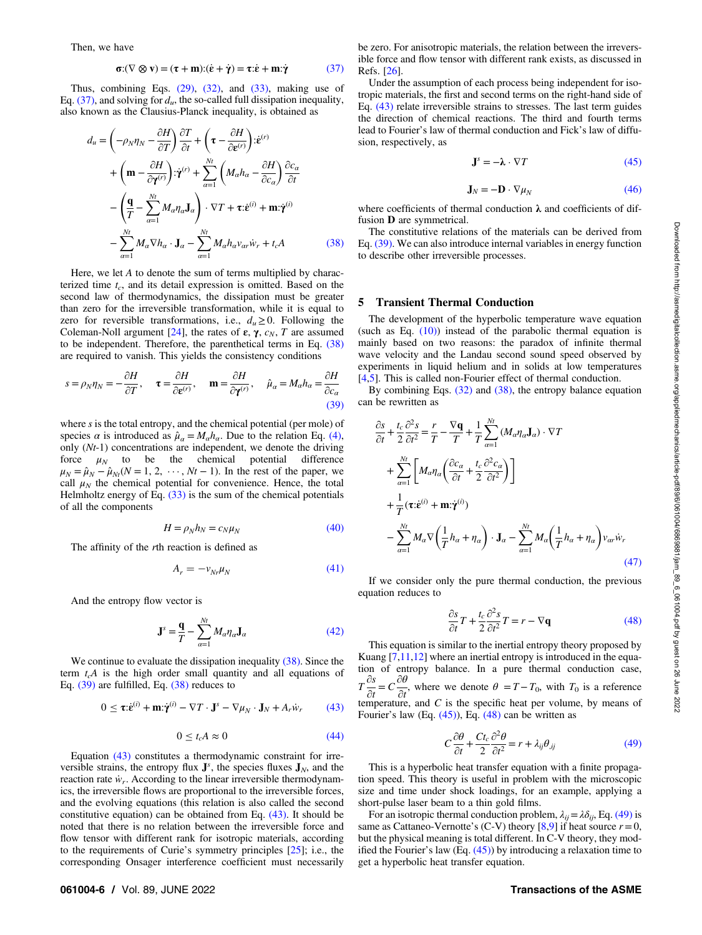<span id="page-5-0"></span>Then, we have

$$
\sigma: (\nabla \otimes \mathbf{v}) = (\tau + \mathbf{m}): (\dot{\mathbf{\varepsilon}} + \dot{\mathbf{\gamma}}) = \tau : \dot{\mathbf{\varepsilon}} + \mathbf{m} : \dot{\mathbf{\gamma}} \tag{37}
$$

Thus, combining Eqs. [\(29\)](#page-4-0), [\(32\),](#page-4-0) and [\(33\)](#page-4-0), making use of Eq. (37), and solving for  $d_u$ , the so-called full dissipation inequality, also known as the Clausius-Planck inequality, is obtained as

$$
d_u = \left(-\rho_N \eta_N - \frac{\partial H}{\partial T}\right) \frac{\partial T}{\partial t} + \left(\tau - \frac{\partial H}{\partial \varepsilon^{(r)}}\right) : \dot{\varepsilon}^{(r)} + \left(\mathbf{m} - \frac{\partial H}{\partial \gamma^{(r)}}\right) : \dot{\gamma}^{(r)} + \sum_{\alpha=1}^{N_t} \left(M_\alpha h_\alpha - \frac{\partial H}{\partial c_\alpha}\right) \frac{\partial c_\alpha}{\partial t} - \left(\frac{\mathbf{q}}{T} - \sum_{\alpha=1}^{N_t} M_\alpha \eta_\alpha \mathbf{J}_\alpha\right) \cdot \nabla T + \tau : \dot{\varepsilon}^{(i)} + \mathbf{m} : \dot{\gamma}^{(i)} - \sum_{\alpha=1}^{N_t} M_\alpha \nabla h_\alpha \cdot \mathbf{J}_\alpha - \sum_{\alpha=1}^{N_t} M_\alpha h_\alpha v_{\alpha r} \dot{w}_r + t_c A
$$
(38)

Here, we let A to denote the sum of terms multiplied by characterized time  $t_c$ , and its detail expression is omitted. Based on the second law of thermodynamics, the dissipation must be greater than zero for the irreversible transformation, while it is equal to zero for reversible transformations, i.e.,  $d_u \geq 0$ . Following the Coleman-Noll argument [[24\]](#page-6-0), the rates of  $\varepsilon$ ,  $\gamma$ ,  $c_N$ ,  $T$  are assumed to be independent. Therefore, the parenthetical terms in Eq. (38) are required to vanish. This yields the consistency conditions

$$
s = \rho_N \eta_N = -\frac{\partial H}{\partial T}, \quad \tau = \frac{\partial H}{\partial \varepsilon^{(r)}}, \quad \mathbf{m} = \frac{\partial H}{\partial \mathbf{\gamma}^{(r)}}, \quad \hat{\mu}_\alpha = M_\alpha h_\alpha = \frac{\partial H}{\partial c_\alpha}
$$
(39)

where s is the total entropy, and the chemical potential (per mole) of species  $\alpha$  is introduced as  $\hat{\mu}_{\alpha} = M_{\alpha} h_{\alpha}$ . Due to the relation Eq. [\(4\),](#page-1-0) only  $(Nt-1)$  concentrations are independent, we denote the driving force  $\mu_N$  to be the chemical potential difference  $\mu_N = \hat{\mu}_N - \hat{\mu}_{Nt}(N = 1, 2, \dots, Nt - 1)$ . In the rest of the paper, we call  $\mu_N$  the chemical potential for convenience. Hence, the total Helmholtz energy of Eq.  $(33)$  is the sum of the chemical potentials of all the components

$$
H = \rho_N h_N = c_N \mu_N \tag{40}
$$

The affinity of the rth reaction is defined as

$$
A_r = -v_{Nr}\mu_N \tag{41}
$$

And the entropy flow vector is

$$
\mathbf{J}^{s} = \frac{\mathbf{q}}{T} - \sum_{\alpha=1}^{Nt} M_{\alpha} \eta_{\alpha} \mathbf{J}_{\alpha}
$$
 (42)

We continue to evaluate the dissipation inequality (38). Since the term  $t_cA$  is the high order small quantity and all equations of Eq. (39) are fulfilled, Eq. (38) reduces to

$$
0 \leq \tau \cdot \dot{\mathbf{e}}^{(i)} + \mathbf{m} \cdot \dot{\mathbf{\gamma}}^{(i)} - \nabla T \cdot \mathbf{J}^s - \nabla \mu_N \cdot \mathbf{J}_N + A_r \dot{w}_r \tag{43}
$$

$$
0 \le t_c A \approx 0 \tag{44}
$$

Equation (43) constitutes a thermodynamic constraint for irreversible strains, the entropy flux  $\mathbf{J}^s$ , the species fluxes  $\mathbf{J}_N$ , and the reaction rate  $\dot{w}_r$ . According to the linear irreversible thermodynamics, the irreversible flows are proportional to the irreversible forces, and the evolving equations (this relation is also called the second constitutive equation) can be obtained from Eq. (43). It should be noted that there is no relation between the irreversible force and flow tensor with different rank for isotropic materials, according to the requirements of Curie's symmetry principles [[25\]](#page-6-0); i.e., the corresponding Onsager interference coefficient must necessarily

be zero. For anisotropic materials, the relation between the irreversible force and flow tensor with different rank exists, as discussed in Refs. [\[26](#page-6-0)].

Under the assumption of each process being independent for isotropic materials, the first and second terms on the right-hand side of Eq. (43) relate irreversible strains to stresses. The last term guides the direction of chemical reactions. The third and fourth terms lead to Fourier's law of thermal conduction and Fick's law of diffusion, respectively, as

$$
\mathbf{J}^s = -\boldsymbol{\lambda} \cdot \nabla T \tag{45}
$$

$$
\mathbf{J}_N = -\mathbf{D} \cdot \nabla \mu_N \tag{46}
$$

where coefficients of thermal conduction  $\lambda$  and coefficients of diffusion D are symmetrical.

The constitutive relations of the materials can be derived from Eq. (39). We can also introduce internal variables in energy function to describe other irreversible processes.

#### 5 Transient Thermal Conduction

The development of the hyperbolic temperature wave equation (such as Eq.  $(10)$ ) instead of the parabolic thermal equation is mainly based on two reasons: the paradox of infinite thermal wave velocity and the Landau second sound speed observed by experiments in liquid helium and in solids at low temperatures [[4](#page-6-0),[5](#page-6-0)]. This is called non-Fourier effect of thermal conduction.

By combining Eqs. [\(32\)](#page-4-0) and (38), the entropy balance equation can be rewritten as

$$
\frac{\partial s}{\partial t} + \frac{t_c}{2} \frac{\partial^2 s}{\partial t^2} = \frac{r}{T} - \frac{\nabla \mathbf{q}}{T} + \frac{1}{T} \sum_{\alpha=1}^{Nt} (M_{\alpha} \eta_{\alpha} \mathbf{J}_{\alpha}) \cdot \nabla T \n+ \sum_{\alpha=1}^{Nt} \left[ M_{\alpha} \eta_{\alpha} \left( \frac{\partial c_{\alpha}}{\partial t} + \frac{t_c}{2} \frac{\partial^2 c_{\alpha}}{\partial t^2} \right) \right] \n+ \frac{1}{T} (\mathbf{\tau} : \dot{\mathbf{\varepsilon}}^{(i)} + \mathbf{m} : \dot{\mathbf{\gamma}}^{(i)}) \n- \sum_{\alpha=1}^{Nt} M_{\alpha} \nabla \left( \frac{1}{T} h_{\alpha} + \eta_{\alpha} \right) \cdot \mathbf{J}_{\alpha} - \sum_{\alpha=1}^{Nt} M_{\alpha} \left( \frac{1}{T} h_{\alpha} + \eta_{\alpha} \right) v_{\alpha r} \dot{w}_{r}
$$
\n(47)

If we consider only the pure thermal conduction, the previous equation reduces to

$$
\frac{\partial s}{\partial t}T + \frac{t_c}{2} \frac{\partial^2 s}{\partial t^2} T = r - \nabla \mathbf{q}
$$
\n(48)

This equation is similar to the inertial entropy theory proposed by Kuang [[7,11](#page-6-0),[12\]](#page-6-0) where an inertial entropy is introduced in the equation of entropy balance. In a pure thermal conduction case,  $T\frac{\partial s}{\partial x}$  $\frac{\partial s}{\partial t} = C \frac{\partial \theta}{\partial t}$  $\frac{\partial}{\partial t}$ , where we denote  $\theta = T - T_0$ , with  $T_0$  is a reference temperature, and  $C$  is the specific heat per volume, by means of Fourier's law (Eq.  $(45)$ ), Eq.  $(48)$  can be written as

$$
C\frac{\partial\theta}{\partial t} + \frac{Ct_c}{2}\frac{\partial^2\theta}{\partial t^2} = r + \lambda_{ij}\theta_{,ij}
$$
\n(49)

This is a hyperbolic heat transfer equation with a finite propagation speed. This theory is useful in problem with the microscopic size and time under shock loadings, for an example, applying a short-pulse laser beam to a thin gold films.

For an isotropic thermal conduction problem,  $\lambda_{ii} = \lambda \delta_{ii}$ , Eq. (49) is same as Cattaneo-Vernotte's (C-V) theory [[8](#page-6-0),[9](#page-6-0)] if heat source  $r=0$ , but the physical meaning is total different. In C-V theory, they modified the Fourier's law (Eq.  $(45)$ ) by introducing a relaxation time to get a hyperbolic heat transfer equation.

### 061004-6 / Vol. 89, JUNE 2022 2008 10:00 10:00 10:00 10:00 10:00 10:00 10:00 10:00 10:00 10:00 10:00 10:00 10:0